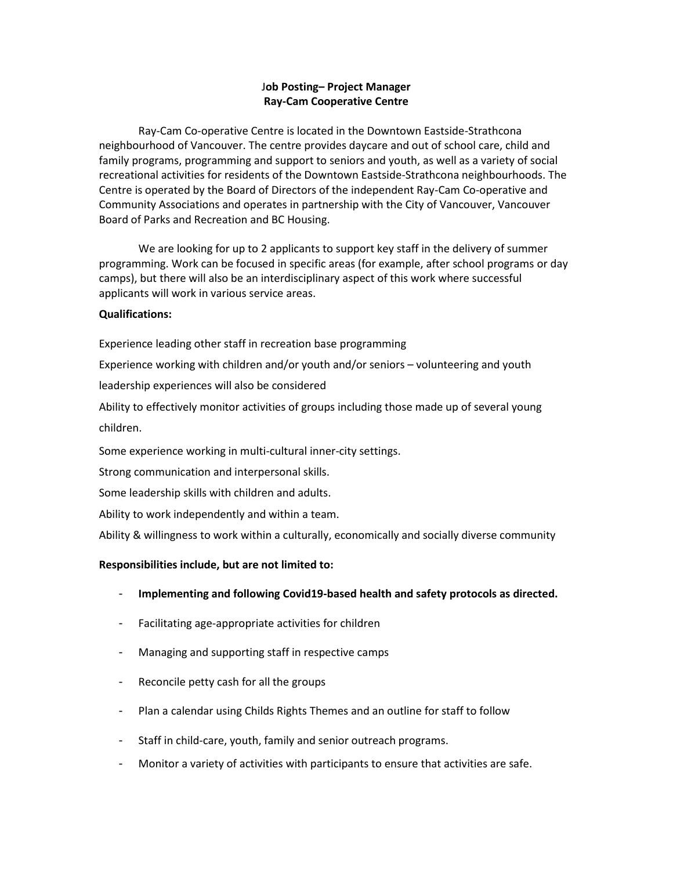# J**ob Posting– Project Manager Ray-Cam Cooperative Centre**

Ray-Cam Co-operative Centre is located in the Downtown Eastside-Strathcona neighbourhood of Vancouver. The centre provides daycare and out of school care, child and family programs, programming and support to seniors and youth, as well as a variety of social recreational activities for residents of the Downtown Eastside-Strathcona neighbourhoods. The Centre is operated by the Board of Directors of the independent Ray-Cam Co-operative and Community Associations and operates in partnership with the City of Vancouver, Vancouver Board of Parks and Recreation and BC Housing.

We are looking for up to 2 applicants to support key staff in the delivery of summer programming. Work can be focused in specific areas (for example, after school programs or day camps), but there will also be an interdisciplinary aspect of this work where successful applicants will work in various service areas.

## **Qualifications:**

Experience leading other staff in recreation base programming

Experience working with children and/or youth and/or seniors – volunteering and youth

leadership experiences will also be considered

Ability to effectively monitor activities of groups including those made up of several young children.

Some experience working in multi-cultural inner-city settings.

Strong communication and interpersonal skills.

Some leadership skills with children and adults.

Ability to work independently and within a team.

Ability & willingness to work within a culturally, economically and socially diverse community

### **Responsibilities include, but are not limited to:**

- **Implementing and following Covid19-based health and safety protocols as directed.**
- Facilitating age-appropriate activities for children
- Managing and supporting staff in respective camps
- Reconcile petty cash for all the groups
- Plan a calendar using Childs Rights Themes and an outline for staff to follow
- Staff in child-care, youth, family and senior outreach programs.
- Monitor a variety of activities with participants to ensure that activities are safe.